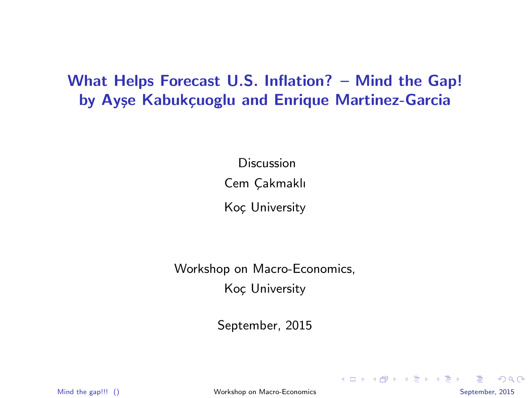# What Helps Forecast U.S. Inflation? – Mind the Gap! by Ayşe Kabukçuoglu and Enrique Martinez-Garcia

Discussion Cem Cakmaklı

Koç University

Workshop on Macro-Economics, Koc University

September, 2015

Mind the gap!!! () [Workshop on Macro-Economics](#page-6-0) and the gap September, 2015

<span id="page-0-0"></span> $QQQ$ 

**K ロ ▶ K 御 ▶ K 唐 ▶ K 唐 ▶**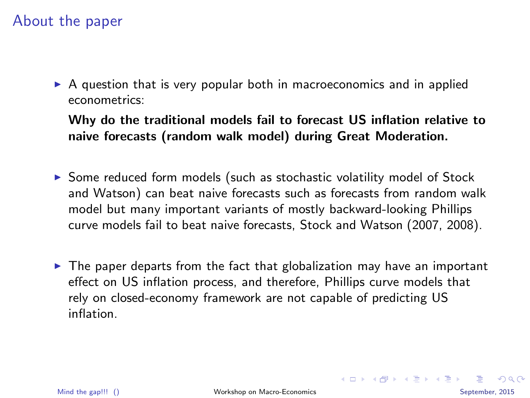### About the paper

▶ A question that is very popular both in macroeconomics and in applied econometrics:

Why do the traditional models fail to forecast US inflation relative to naive forecasts (random walk model) during Great Moderation.

- ▶ Some reduced form models (such as stochastic volatility model of Stock and Watson) can beat naive forecasts such as forecasts from random walk model but many important variants of mostly backward-looking Phillips curve models fail to beat naive forecasts, Stock and Watson (2007, 2008).
- $\triangleright$  The paper departs from the fact that globalization may have an important effect on US inflation process, and therefore, Phillips curve models that rely on closed-economy framework are not capable of predicting US inflation.

<span id="page-1-0"></span> $QQ$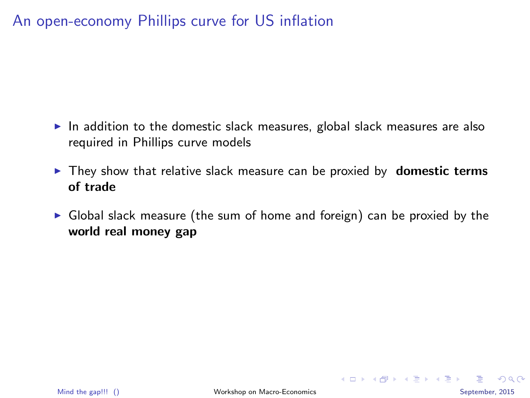# An open-economy Phillips curve for US inflation

- $\triangleright$  In addition to the domestic slack measures, global slack measures are also required in Phillips curve models
- $\triangleright$  They show that relative slack measure can be proxied by **domestic terms** of trade
- $\triangleright$  Global slack measure (the sum of home and foreign) can be proxied by the world real money gap

 $QQQ$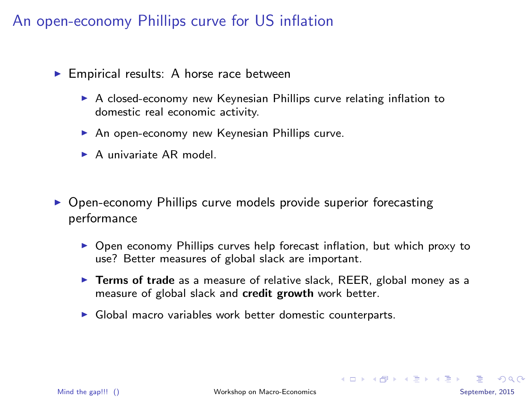### An open-economy Phillips curve for US inflation

- $\blacktriangleright$  Empirical results: A horse race between
	- ▶ A closed-economy new Keynesian Phillips curve relating inflation to domestic real economic activity.
	- $\triangleright$  An open-economy new Keynesian Phillips curve.
	- $\triangleright$  A univariate AR model.
- ▶ Open-economy Phillips curve models provide superior forecasting performance
	- ▶ Open economy Phillips curves help forecast inflation, but which proxy to use? Better measures of global slack are important.
	- $\triangleright$  Terms of trade as a measure of relative slack, REER, global money as a measure of global slack and credit growth work better.
	- ▶ Global macro variables work better domestic counterparts.

 $QQ$ 

**K ロ ト K 何 ト K ヨ ト K ヨ ト**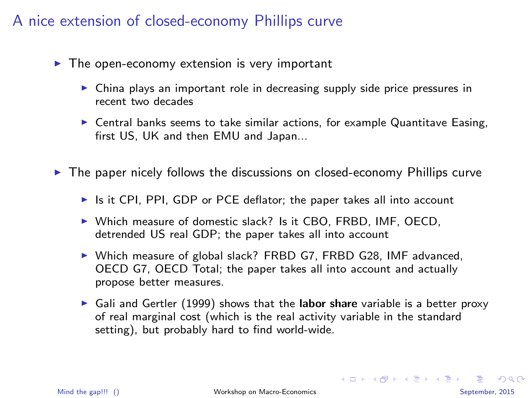# A nice extension of closed-economy Phillips curve

- $\blacktriangleright$  The open-economy extension is very important
	- $\triangleright$  China plays an important role in decreasing supply side price pressures in recent two decades
	- $\triangleright$  Central banks seems to take similar actions, for example Quantitave Easing, first US, UK and then EMU and Japan...

► The paper nicely follows the discussions on closed-economy Phillips curve

- ▶ Is it CPI, PPI, GDP or PCE deflator; the paper takes all into account
- ▶ Which measure of domestic slack? Is it CBO, FRBD, IMF, OECD, detrended US real GDP; the paper takes all into account
- ▶ Which measure of global slack? FRBD G7, FRBD G28, IMF advanced, OECD G7, OECD Total; the paper takes all into account and actually propose better measures.
- $\triangleright$  Gali and Gertler (1999) shows that the labor share variable is a better proxy of real marginal cost (which is the real activity variable in the standard setting), but probably hard to find world-wide.

K ロ ▶ K @ ▶ K 할 ▶ K 할 ▶ 이 할 → 9 Q @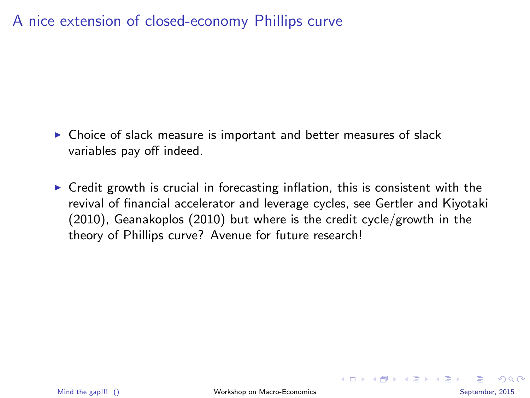# A nice extension of closed-economy Phillips curve

- ▶ Choice of slack measure is important and better measures of slack variables pay off indeed.
- $\triangleright$  Credit growth is crucial in forecasting inflation, this is consistent with the revival of financial accelerator and leverage cycles, see Gertler and Kiyotaki (2010), Geanakoplos (2010) but where is the credit cycle/growth in the theory of Phillips curve? Avenue for future research!

<span id="page-5-0"></span> $\Omega$